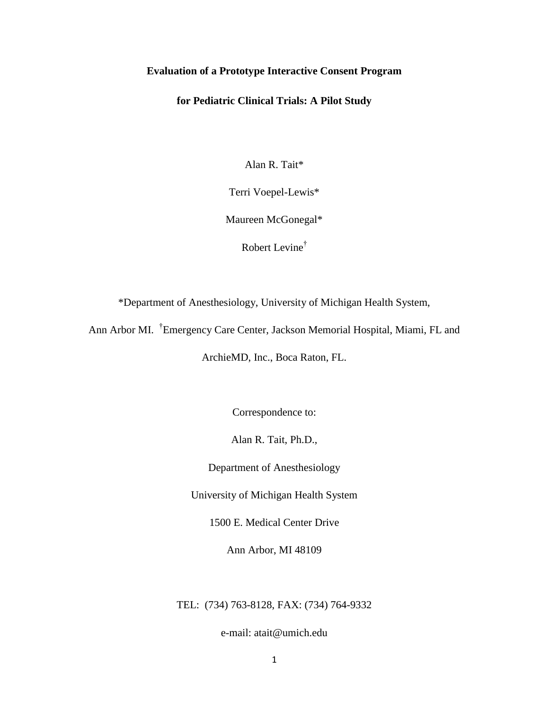# **Evaluation of a Prototype Interactive Consent Program**

# **for Pediatric Clinical Trials: A Pilot Study**

Alan R. Tait\*

Terri Voepel-Lewis\*

Maureen McGonegal\*

Robert Levine†

\*Department of Anesthesiology, University of Michigan Health System,

Ann Arbor MI. <sup>†</sup>Emergency Care Center, Jackson Memorial Hospital, Miami, FL and

ArchieMD, Inc., Boca Raton, FL.

Correspondence to:

Alan R. Tait, Ph.D.,

Department of Anesthesiology

University of Michigan Health System

1500 E. Medical Center Drive

Ann Arbor, MI 48109

TEL: (734) 763-8128, FAX: (734) 764-9332

e-mail: atait@umich.edu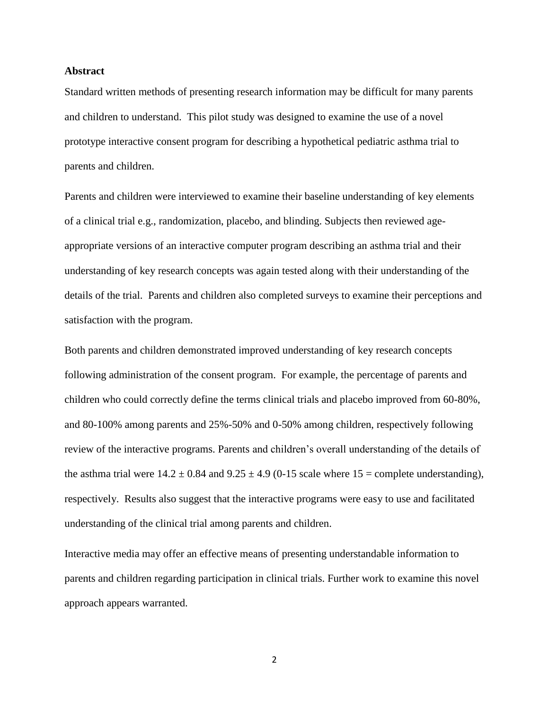## **Abstract**

Standard written methods of presenting research information may be difficult for many parents and children to understand. This pilot study was designed to examine the use of a novel prototype interactive consent program for describing a hypothetical pediatric asthma trial to parents and children.

Parents and children were interviewed to examine their baseline understanding of key elements of a clinical trial e.g., randomization, placebo, and blinding. Subjects then reviewed ageappropriate versions of an interactive computer program describing an asthma trial and their understanding of key research concepts was again tested along with their understanding of the details of the trial. Parents and children also completed surveys to examine their perceptions and satisfaction with the program.

Both parents and children demonstrated improved understanding of key research concepts following administration of the consent program. For example, the percentage of parents and children who could correctly define the terms clinical trials and placebo improved from 60-80%, and 80-100% among parents and 25%-50% and 0-50% among children, respectively following review of the interactive programs. Parents and children's overall understanding of the details of the asthma trial were  $14.2 \pm 0.84$  and  $9.25 \pm 4.9$  (0-15 scale where  $15 =$ complete understanding), respectively. Results also suggest that the interactive programs were easy to use and facilitated understanding of the clinical trial among parents and children.

Interactive media may offer an effective means of presenting understandable information to parents and children regarding participation in clinical trials. Further work to examine this novel approach appears warranted.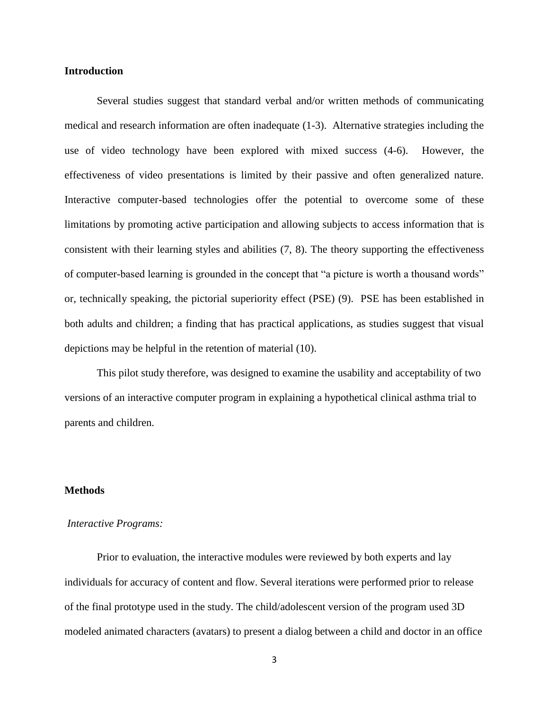## **Introduction**

Several studies suggest that standard verbal and/or written methods of communicating medical and research information are often inadequate [\(1-3\)](#page-10-0). Alternative strategies including the use of video technology have been explored with mixed success [\(4-6\)](#page-10-1). However, the effectiveness of video presentations is limited by their passive and often generalized nature. Interactive computer-based technologies offer the potential to overcome some of these limitations by promoting active participation and allowing subjects to access information that is consistent with their learning styles and abilities [\(7,](#page-10-2) [8\)](#page-10-3). The theory supporting the effectiveness of computer-based learning is grounded in the concept that "a picture is worth a thousand words" or, technically speaking, the pictorial superiority effect (PSE) [\(9\)](#page-10-4). PSE has been established in both adults and children; a finding that has practical applications, as studies suggest that visual depictions may be helpful in the retention of material [\(10\)](#page-10-5).

This pilot study therefore, was designed to examine the usability and acceptability of two versions of an interactive computer program in explaining a hypothetical clinical asthma trial to parents and children.

## **Methods**

#### *Interactive Programs:*

Prior to evaluation, the interactive modules were reviewed by both experts and lay individuals for accuracy of content and flow. Several iterations were performed prior to release of the final prototype used in the study. The child/adolescent version of the program used 3D modeled animated characters (avatars) to present a dialog between a child and doctor in an office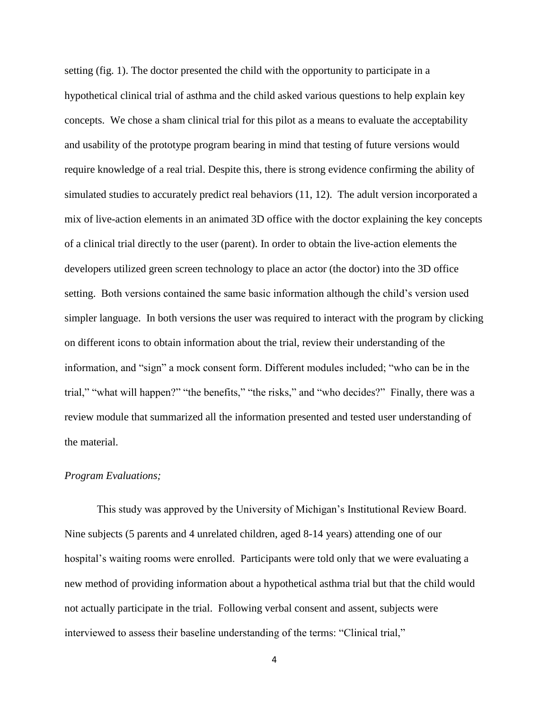setting (fig. 1). The doctor presented the child with the opportunity to participate in a hypothetical clinical trial of asthma and the child asked various questions to help explain key concepts. We chose a sham clinical trial for this pilot as a means to evaluate the acceptability and usability of the prototype program bearing in mind that testing of future versions would require knowledge of a real trial. Despite this, there is strong evidence confirming the ability of simulated studies to accurately predict real behaviors [\(11,](#page-11-0) [12\)](#page-11-1).The adult version incorporated a mix of live-action elements in an animated 3D office with the doctor explaining the key concepts of a clinical trial directly to the user (parent). In order to obtain the live-action elements the developers utilized green screen technology to place an actor (the doctor) into the 3D office setting. Both versions contained the same basic information although the child's version used simpler language. In both versions the user was required to interact with the program by clicking on different icons to obtain information about the trial, review their understanding of the information, and "sign" a mock consent form. Different modules included; "who can be in the trial," "what will happen?" "the benefits," "the risks," and "who decides?" Finally, there was a review module that summarized all the information presented and tested user understanding of the material.

## *Program Evaluations;*

This study was approved by the University of Michigan's Institutional Review Board. Nine subjects (5 parents and 4 unrelated children, aged 8-14 years) attending one of our hospital's waiting rooms were enrolled. Participants were told only that we were evaluating a new method of providing information about a hypothetical asthma trial but that the child would not actually participate in the trial. Following verbal consent and assent, subjects were interviewed to assess their baseline understanding of the terms: "Clinical trial,"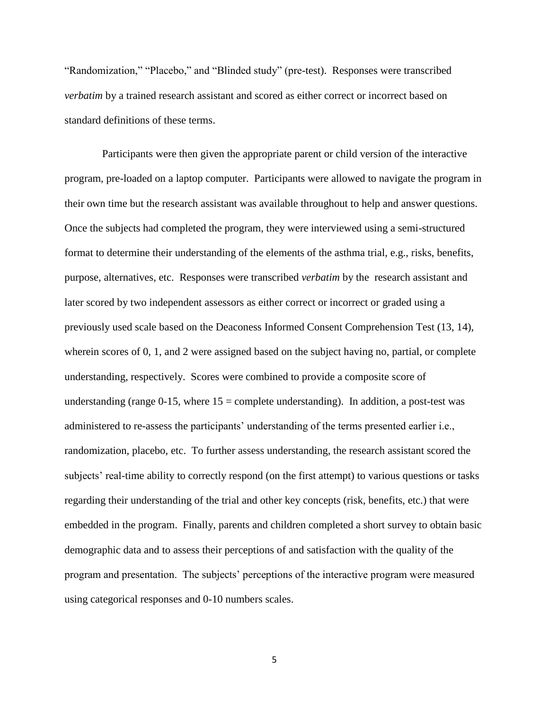"Randomization," "Placebo," and "Blinded study" (pre-test). Responses were transcribed *verbatim* by a trained research assistant and scored as either correct or incorrect based on standard definitions of these terms.

 Participants were then given the appropriate parent or child version of the interactive program, pre-loaded on a laptop computer. Participants were allowed to navigate the program in their own time but the research assistant was available throughout to help and answer questions. Once the subjects had completed the program, they were interviewed using a semi-structured format to determine their understanding of the elements of the asthma trial, e.g., risks, benefits, purpose, alternatives, etc. Responses were transcribed *verbatim* by the research assistant and later scored by two independent assessors as either correct or incorrect or graded using a previously used scale based on the Deaconess Informed Consent Comprehension Test [\(13,](#page-11-2) [14\)](#page-11-3), wherein scores of 0, 1, and 2 were assigned based on the subject having no, partial, or complete understanding, respectively. Scores were combined to provide a composite score of understanding (range  $0-15$ , where  $15 =$  complete understanding). In addition, a post-test was administered to re-assess the participants' understanding of the terms presented earlier i.e., randomization, placebo, etc. To further assess understanding, the research assistant scored the subjects' real-time ability to correctly respond (on the first attempt) to various questions or tasks regarding their understanding of the trial and other key concepts (risk, benefits, etc.) that were embedded in the program. Finally, parents and children completed a short survey to obtain basic demographic data and to assess their perceptions of and satisfaction with the quality of the program and presentation. The subjects' perceptions of the interactive program were measured using categorical responses and 0-10 numbers scales.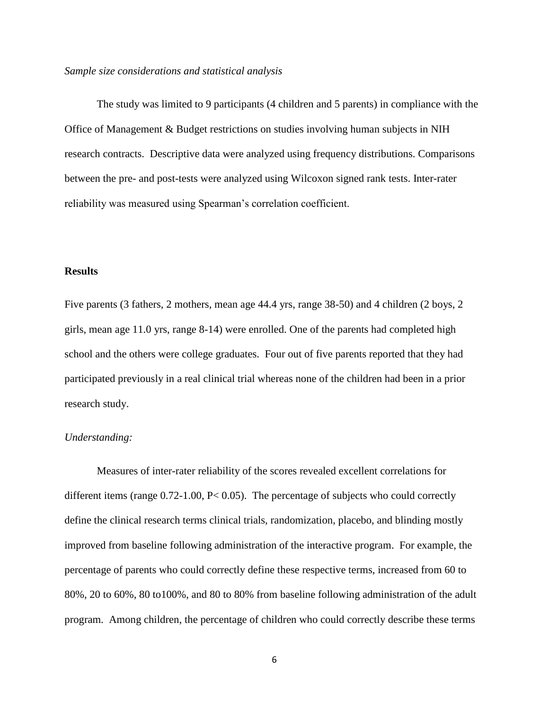## *Sample size considerations and statistical analysis*

The study was limited to 9 participants (4 children and 5 parents) in compliance with the Office of Management & Budget restrictions on studies involving human subjects in NIH research contracts. Descriptive data were analyzed using frequency distributions. Comparisons between the pre- and post-tests were analyzed using Wilcoxon signed rank tests. Inter-rater reliability was measured using Spearman's correlation coefficient.

## **Results**

Five parents (3 fathers, 2 mothers, mean age 44.4 yrs, range 38-50) and 4 children (2 boys, 2 girls, mean age 11.0 yrs, range 8-14) were enrolled. One of the parents had completed high school and the others were college graduates. Four out of five parents reported that they had participated previously in a real clinical trial whereas none of the children had been in a prior research study.

#### *Understanding:*

Measures of inter-rater reliability of the scores revealed excellent correlations for different items (range 0.72-1.00, P< 0.05). The percentage of subjects who could correctly define the clinical research terms clinical trials, randomization, placebo, and blinding mostly improved from baseline following administration of the interactive program. For example, the percentage of parents who could correctly define these respective terms, increased from 60 to 80%, 20 to 60%, 80 to100%, and 80 to 80% from baseline following administration of the adult program. Among children, the percentage of children who could correctly describe these terms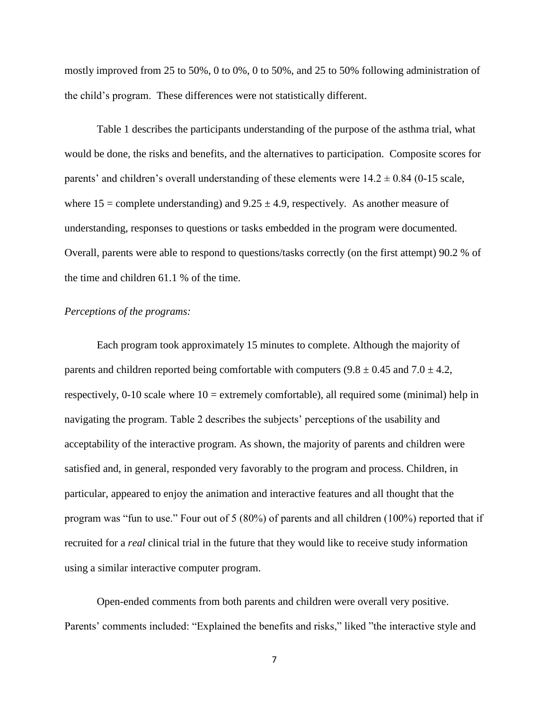mostly improved from 25 to 50%, 0 to 0%, 0 to 50%, and 25 to 50% following administration of the child's program. These differences were not statistically different.

Table 1 describes the participants understanding of the purpose of the asthma trial, what would be done, the risks and benefits, and the alternatives to participation. Composite scores for parents' and children's overall understanding of these elements were  $14.2 \pm 0.84$  (0-15 scale, where  $15 =$  complete understanding) and  $9.25 \pm 4.9$ , respectively. As another measure of understanding, responses to questions or tasks embedded in the program were documented. Overall, parents were able to respond to questions/tasks correctly (on the first attempt) 90.2 % of the time and children 61.1 % of the time.

## *Perceptions of the programs:*

Each program took approximately 15 minutes to complete. Although the majority of parents and children reported being comfortable with computers  $(9.8 \pm 0.45$  and  $7.0 \pm 4.2$ , respectively, 0-10 scale where 10 = extremely comfortable), all required some (minimal) help in navigating the program. Table 2 describes the subjects' perceptions of the usability and acceptability of the interactive program. As shown, the majority of parents and children were satisfied and, in general, responded very favorably to the program and process. Children, in particular, appeared to enjoy the animation and interactive features and all thought that the program was "fun to use." Four out of 5 (80%) of parents and all children (100%) reported that if recruited for a *real* clinical trial in the future that they would like to receive study information using a similar interactive computer program.

Open-ended comments from both parents and children were overall very positive. Parents' comments included: "Explained the benefits and risks," liked "the interactive style and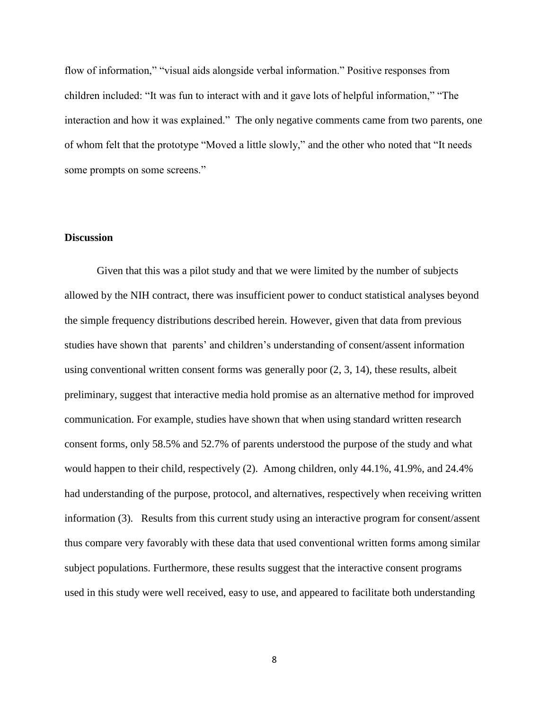flow of information," "visual aids alongside verbal information." Positive responses from children included: "It was fun to interact with and it gave lots of helpful information," "The interaction and how it was explained." The only negative comments came from two parents, one of whom felt that the prototype "Moved a little slowly," and the other who noted that "It needs some prompts on some screens."

## **Discussion**

Given that this was a pilot study and that we were limited by the number of subjects allowed by the NIH contract, there was insufficient power to conduct statistical analyses beyond the simple frequency distributions described herein. However, given that data from previous studies have shown that parents' and children's understanding of consent/assent information using conventional written consent forms was generally poor [\(2,](#page-10-6) [3,](#page-10-7) [14\)](#page-11-3), these results, albeit preliminary, suggest that interactive media hold promise as an alternative method for improved communication. For example, studies have shown that when using standard written research consent forms, only 58.5% and 52.7% of parents understood the purpose of the study and what would happen to their child, respectively (2). Among children, only 44.1%, 41.9%, and 24.4% had understanding of the purpose, protocol, and alternatives, respectively when receiving written information (3). Results from this current study using an interactive program for consent/assent thus compare very favorably with these data that used conventional written forms among similar subject populations. Furthermore, these results suggest that the interactive consent programs used in this study were well received, easy to use, and appeared to facilitate both understanding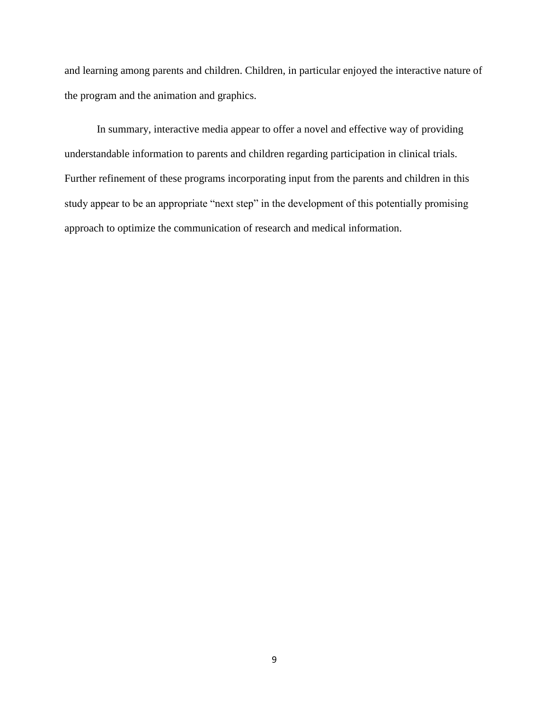and learning among parents and children. Children, in particular enjoyed the interactive nature of the program and the animation and graphics.

In summary, interactive media appear to offer a novel and effective way of providing understandable information to parents and children regarding participation in clinical trials. Further refinement of these programs incorporating input from the parents and children in this study appear to be an appropriate "next step" in the development of this potentially promising approach to optimize the communication of research and medical information.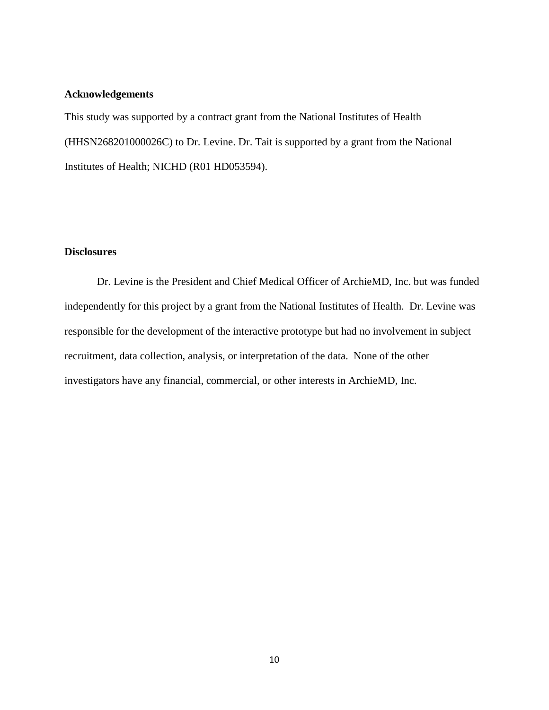## **Acknowledgements**

This study was supported by a contract grant from the National Institutes of Health (HHSN268201000026C) to Dr. Levine. Dr. Tait is supported by a grant from the National Institutes of Health; NICHD (R01 HD053594).

# **Disclosures**

Dr. Levine is the President and Chief Medical Officer of ArchieMD, Inc. but was funded independently for this project by a grant from the National Institutes of Health. Dr. Levine was responsible for the development of the interactive prototype but had no involvement in subject recruitment, data collection, analysis, or interpretation of the data. None of the other investigators have any financial, commercial, or other interests in ArchieMD, Inc.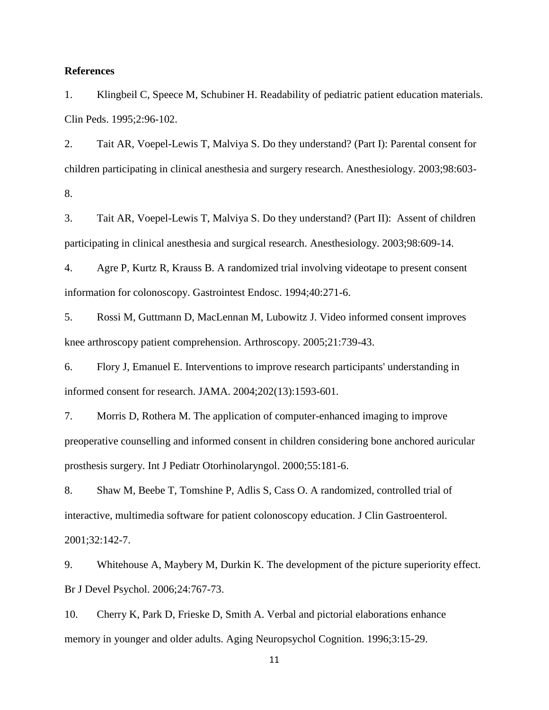## **References**

<span id="page-10-0"></span>1. Klingbeil C, Speece M, Schubiner H. Readability of pediatric patient education materials. Clin Peds. 1995;2:96-102.

<span id="page-10-6"></span>2. Tait AR, Voepel-Lewis T, Malviya S. Do they understand? (Part I): Parental consent for children participating in clinical anesthesia and surgery research. Anesthesiology. 2003;98:603- 8.

<span id="page-10-7"></span>3. Tait AR, Voepel-Lewis T, Malviya S. Do they understand? (Part II): Assent of children participating in clinical anesthesia and surgical research. Anesthesiology. 2003;98:609-14.

<span id="page-10-1"></span>4. Agre P, Kurtz R, Krauss B. A randomized trial involving videotape to present consent information for colonoscopy. Gastrointest Endosc. 1994;40:271-6.

5. Rossi M, Guttmann D, MacLennan M, Lubowitz J. Video informed consent improves knee arthroscopy patient comprehension. Arthroscopy. 2005;21:739-43.

6. Flory J, Emanuel E. Interventions to improve research participants' understanding in informed consent for research. JAMA. 2004;202(13):1593-601.

<span id="page-10-2"></span>7. Morris D, Rothera M. The application of computer-enhanced imaging to improve preoperative counselling and informed consent in children considering bone anchored auricular prosthesis surgery. Int J Pediatr Otorhinolaryngol. 2000;55:181-6.

<span id="page-10-3"></span>8. Shaw M, Beebe T, Tomshine P, Adlis S, Cass O. A randomized, controlled trial of interactive, multimedia software for patient colonoscopy education. J Clin Gastroenterol. 2001;32:142-7.

<span id="page-10-4"></span>9. Whitehouse A, Maybery M, Durkin K. The development of the picture superiority effect. Br J Devel Psychol. 2006;24:767-73.

<span id="page-10-5"></span>10. Cherry K, Park D, Frieske D, Smith A. Verbal and pictorial elaborations enhance memory in younger and older adults. Aging Neuropsychol Cognition. 1996;3:15-29.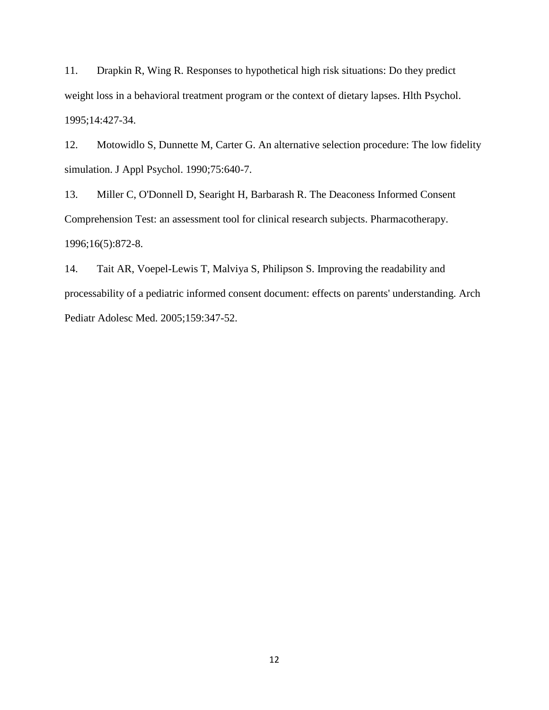<span id="page-11-0"></span>11. Drapkin R, Wing R. Responses to hypothetical high risk situations: Do they predict weight loss in a behavioral treatment program or the context of dietary lapses. Hlth Psychol. 1995;14:427-34.

<span id="page-11-1"></span>12. Motowidlo S, Dunnette M, Carter G. An alternative selection procedure: The low fidelity simulation. J Appl Psychol. 1990;75:640-7.

<span id="page-11-2"></span>13. Miller C, O'Donnell D, Searight H, Barbarash R. The Deaconess Informed Consent Comprehension Test: an assessment tool for clinical research subjects. Pharmacotherapy. 1996;16(5):872-8.

<span id="page-11-3"></span>14. Tait AR, Voepel-Lewis T, Malviya S, Philipson S. Improving the readability and processability of a pediatric informed consent document: effects on parents' understanding. Arch Pediatr Adolesc Med. 2005;159:347-52.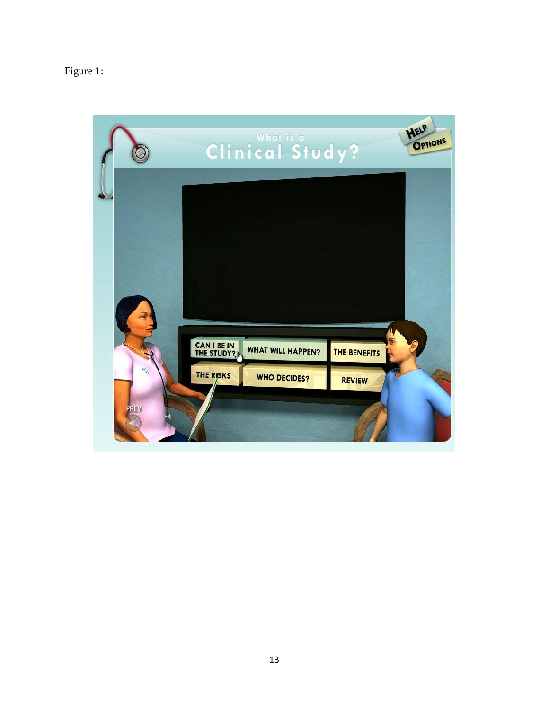# Figure 1:

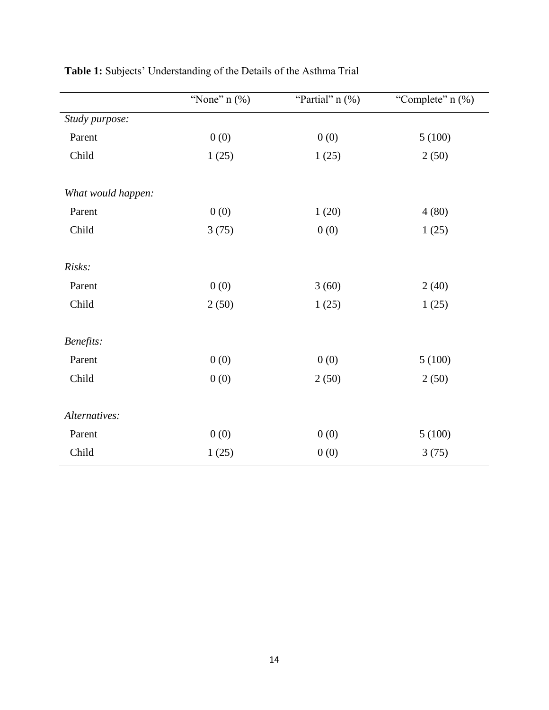|                    | "None" $n$ (%) | "Partial" $n$ (%) | "Complete" n (%) |
|--------------------|----------------|-------------------|------------------|
| Study purpose:     |                |                   |                  |
| Parent             | 0(0)           | 0(0)              | 5(100)           |
| Child              | 1(25)          | 1(25)             | 2(50)            |
| What would happen: |                |                   |                  |
| Parent             | 0(0)           | 1(20)             | 4(80)            |
| Child              | 3(75)          | 0(0)              | 1(25)            |
| Risks:             |                |                   |                  |
| Parent             | 0(0)           | 3(60)             | 2(40)            |
| Child              | 2(50)          | 1(25)             | 1(25)            |
| Benefits:          |                |                   |                  |
| Parent             | 0(0)           | 0(0)              | 5(100)           |
| Child              | 0(0)           | 2(50)             | 2(50)            |
| Alternatives:      |                |                   |                  |
| Parent             | 0(0)           | 0(0)              | 5(100)           |
| Child              | 1(25)          | 0(0)              | 3(75)            |

**Table 1:** Subjects' Understanding of the Details of the Asthma Trial